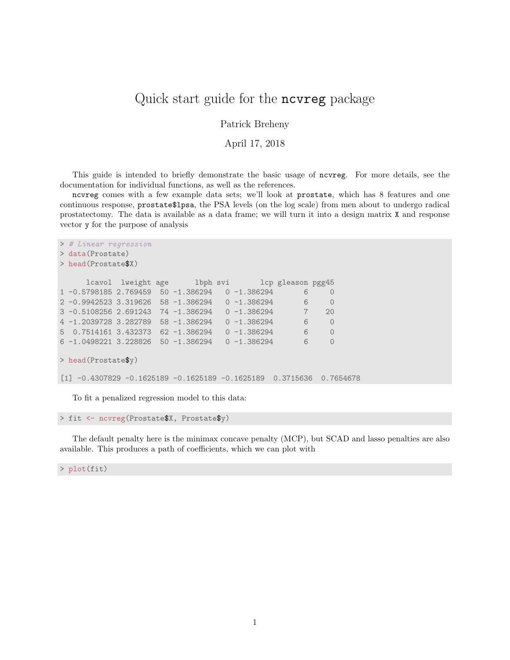## Quick start guide for the ncvreg package

Patrick Breheny

April 17, 2018

This guide is intended to briefly demonstrate the basic usage of ncvreg. For more details, see the documentation for individual functions, as well as the references.

ncvreg comes with a few example data sets; we'll look at prostate, which has 8 features and one continuous response, prostate\$lpsa, the PSA levels (on the log scale) from men about to undergo radical prostatectomy. The data is available as a data frame; we will turn it into a design matrix X and response vector y for the purpose of analysis

```
> # Linear regression
> data(Prostate)
> head(Prostate$X)
     lcavol lweight age lbph svi lcp gleason pgg45
1 -0.5798185 2.769459 50 -1.386294 0 -1.386294 6 0
2 -0.9942523 3.319626 58 -1.386294 0 -1.386294 6 0
3 -0.5108256 2.691243 74 -1.386294 0 -1.386294 7 20
4 -1.2039728 3.282789 58 -1.386294 0 -1.386294 6 0
5 0.7514161 3.432373 62 -1.386294 0 -1.386294 6 0
6 -1.0498221 3.228826 50 -1.386294 0 -1.386294 6 0
> head(Prostate$y)
[1] -0.4307829 -0.1625189 -0.1625189 -0.1625189 0.3715636 0.7654678
```
To fit a penalized regression model to this data:

```
> fit <- ncvreg(Prostate$X, Prostate$y)
```
The default penalty here is the minimax concave penalty (MCP), but SCAD and lasso penalties are also available. This produces a path of coefficients, which we can plot with

> plot(fit)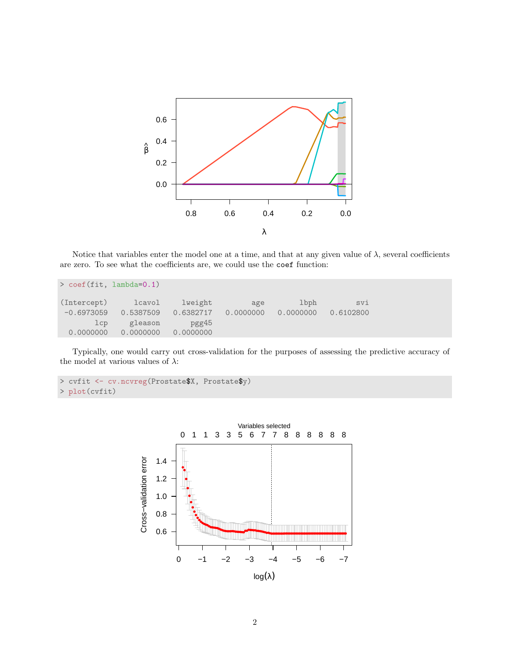

Notice that variables enter the model one at a time, and that at any given value of  $\lambda$ , several coefficients are zero. To see what the coefficients are, we could use the coef function:

| $>$ coef (fit, lambda=0.1) |           |           |           |           |           |  |
|----------------------------|-----------|-----------|-----------|-----------|-----------|--|
| (Intercept)                | lcavol    | lweight   | age       | lbph      | svi       |  |
| $-0.6973059$               | 0.5387509 | 0.6382717 | 0.0000000 | 0.0000000 | 0.6102800 |  |
| 1cp                        | gleason   | pgg45     |           |           |           |  |
| 0.0000000                  | 0.0000000 | 0.0000000 |           |           |           |  |

Typically, one would carry out cross-validation for the purposes of assessing the predictive accuracy of the model at various values of  $\lambda:$ 

```
> cvfit <- cv.ncvreg(Prostate$X, Prostate$y)<br>> plot(cvfit)
  plot(cvfit)
```